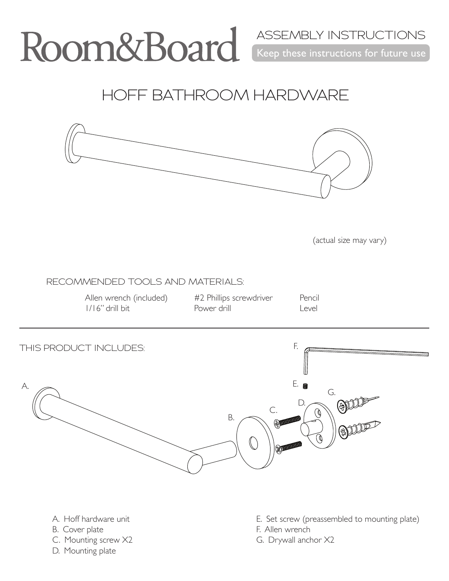Keep these instructions for future use ASSEMBLY INSTRUCTIONS

HOFF BATHROOM HARDWARE



(actual size may vary)

RECOMMENDED TOOLS AND MATERIALS:

Allen wrench (included) 1/16" drill bit

#2 Phillips screwdriver Power drill

Pencil Level



- A. Hoff hardware unit B. Cover plate
- C. Mounting screw X2
- D. Mounting plate
- E. Set screw (preassembled to mounting plate)
- F. Allen wrench
- G. Drywall anchor X2